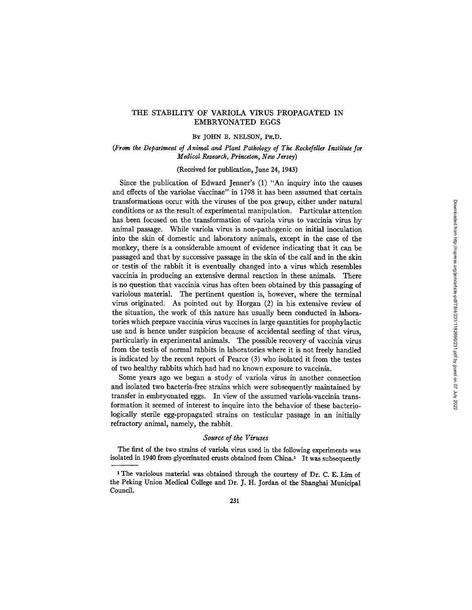# THE STABILITY OF VARIOLA VIRUS PROPAGATED IN EMBRYONATED EGGS

## BY JOHN B. NELSON, PH.D.

# *(From the Department of Animal and Plant Pathology of The Rockefeller Institute for Medical Research, Princeton, New Jersey)*

(Received for publication, June 24, 1943)

Since the publication of Edward Jenner's (1) "An inquiry into the causes and effects of the variolae vaccinae" in 1798 it has been assumed that certain transformations occur with the viruses of the pox group, either under natural conditions or as the result of experimental manipulation. Particular attention has been focused on the transformation of variola virus to vaccinia virus by animal passage. While variola virus is non-pathogenic on initial inoculation into the skin of domestic and laboratory animals, except in the case of the monkey, there is a considerable amount of evidence indicating that it can be passaged and that by successive passage in the skin of the calf and in the skin or testis of the rabbit it is eventually changed into a virus which resembles vaccinia in producing an extensive dermal reaction in these animals. There is no question that vaccinia virus has often been obtained by this passaging of variolous material. The pertinent question is, however, where the terminal virus originated. As pointed out by Horgan (2) in his extensive review of the situation, the work of this nature has usually been conducted in laboratories which prepare vaccinia virus vaccines in large quantities for prophylactic use and is hence under suspicion because of accidental seeding of that virus, particularly in experimental animals. The possible recovery of vaccinia virus from the testis of normal rabbits in laboratories where it is not freely handled is indicated by the recent report of Pearce (3) who isolated it from the testes of two healthy rabbits which had had no known exposure to vaccinia.

Some years ago we began a study of variola virus in another connection and isolated two bacteria-free strains which were subsequently maintained by transfer in embryonated eggs. In view of the assumed variola-vaccinia transformation it seemed of interest to inquire into the behavior of these bacteriologically sterile egg-propagated strains on testicular passage in an initially refractory animal, namely, the rabbit.

#### *Source of the Viruses*

The first of the two strains of variola virus used in the following experiments was isolated in 1940 from glycerinated crusts obtained from China? It was subsequently

<sup>&</sup>lt;sup>1</sup> The variolous material was obtained through the courtesy of Dr. C. E. Lim of the Peking Union Medical College and Dr. J. H. Jordan of the Shanghai Municipal Council.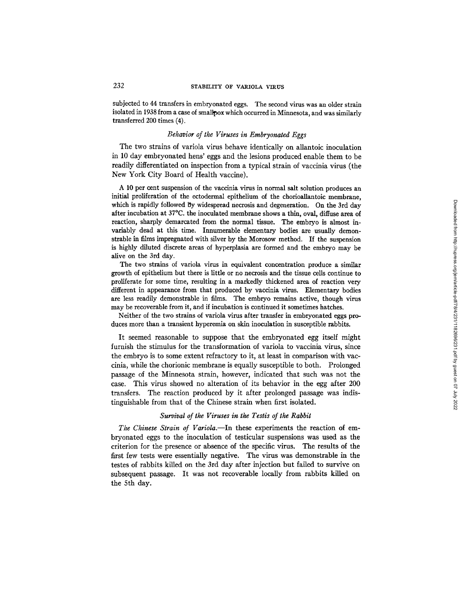subjected to 44 transfers in embryonated eggs. The second virus was an older strain isolated in 1938 from a case of smallpox which occurred in Minnesota, and was similarly transferred 200 times (4).

#### *Behavior of the Viruses in Embryonated Eggs*

The two strains of variola virus behave identically on allantoic inoculation in 10 day embryonated hens' eggs and the lesions produced enable them to be readily differentiated on inspection from a typical strain of vaccinia virus (the New York City Board of Health vaccine).

A 10 per cent suspension of the vaccinia virus in normal salt solution produces an initial proliferation of the ectodermal epithelium of the chorioallantoic membrane, which is rapidly followed By widespread necrosis and degeneration. On the 3rd day after incubation at 37°C. the inoculated membrane shows a thin, oval, diffuse area of reaction, sharply demarcated from the normal tissue. The embryo is almost invariably dead at this time. Innumerable elementary bodies are usually demonstrable in films impregnated with silver by the Morosow method. If the suspension is highly diluted discrete areas of hyperplasia are formed and the embryo may be alive on the 3rd day.

The two strains of variola virus in equivalent concentration produce a similar growth of epithelium but there is little or no necrosis and the tissue cells continue to proliferate for some time, resulting in a markedly thickened area of reaction very different in appearance from that produced by vaecinia virus. Elementary bodies are less readily demonstrable in films. The embryo remains active, though virus may be recoverable from it, and if incubation is continued it sometimes hatches.

Neither of the two strains of variola virus after transfer in embryonated eggs produces more than a transient hyperemia on skin inoculation in susceptible rabbits.

It seemed reasonable to suppose that the embryonated egg itself might furnish the stimulus for the transformation of variola to vaccinia virus, since the embryo is to some extent refractory to it, at least in comparison with vaccinia, while the chorionic membrane is equally susceptible to both. Prolonged passage of the Minnesota strain, however, indicated that such was not the case. This virus showed no alteration of its behavior in the egg after 200 transfers. The reaction produced by it after prolonged passage was indistinguishable from that of the Chinese strain when first isolated.

## *Survival of the Viruses in the Testis of the Rabbit*

*The Chinese Strain of Variola.--In* these experiments the reaction of embryonated eggs to the inoculation of testicular suspensions was used as the criterion for the presence or absence of the specific virus. The results of the first few tests were essentially negative. The virus was demonstrable in the testes of rabbits killed on the 3rd day after injection but failed to survive on subsequent passage. It was not recoverable locally from rabbits killed on the 5th day.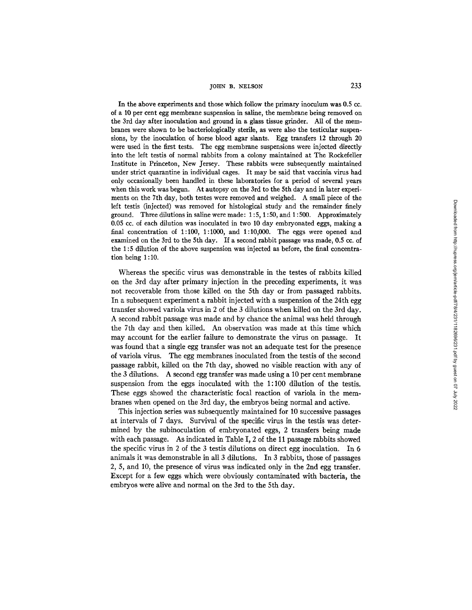### JOHN B. NELSON  $233$

In the above experiments and those which follow the primary inoculum was 0.5 cc. of a 10 per cent egg membrane suspension in saline, the membrane being removed on the 3rd day after inoculation and ground in a glass tissue grinder. All of the membranes were shown to be bacteriologically sterile, as were also the testicular suspensions, by the inoculation of horse blood agar slants. Egg transfers 12 through 20 were used in the first tests. The egg membrane suspensions were injected directly into the left testis of normal rabbits from a colony maintained at The Rockefeller Institute in Princeton, New Jersey. These rabbits were subsequently maintained under strict quarantine in individual cages. It may be said that vaccinia virus had only occasionally been handled in these laboratories for a period of several years when this work was begun. At autopsy on the 3rd to the 5th day and in later experiments on the 7th day, both testes were removed and weighed. A small piece of the left testis (injected) was removed for histological study and the remainder finely ground. Three dilutions in saline were made:  $1:5, 1:50$ , and  $1:500$ . Approximately 0.05 cc. of each dilution was inoculated in two 10 day embryonated eggs, making a final concentration of  $1:100, 1:1000$ , and  $1:10,000$ . The eggs were opened and examined on the 3rd to the 5th day. If a second rabbit passage was made, 0.5 cc. of the 1:5 dilution of the above suspension was injected as before, the final concentration being 1 : 10.

Whereas the specific virus was demonstrable in the testes of rabbits killed on the 3rd day after primary injection in the preceding experiments, it was not recoverable from those killed on the 5th day or from passaged rabbits. In a subsequent experiment a rabbit injected with a suspension of the 24th egg transfer showed variola virus in 2 of the 3 dilutions when killed on the 3rd day. A second rabbit passage was made and by chance the animal was held through the 7th day and then killed. An observation was made at this time which may account for the earlier failure to demonstrate the virus on passage. It was found that a single egg transfer was not an adequate test for the presence of variola virus. The egg membranes inoculated from the testis of the second passage rabbit, killed on the 7th day, showed no visible reaction with any of the 3 dilutions. A second egg transfer was made using a 10 per cent membrane suspension from the eggs inoculated with the 1:100 dilution of the testis. These eggs showed the characteristic focal reaction of variola in the membranes when opened on the 3rd day, the embryos being normal and active.

This injection series was subsequently maintained for 10 successive passages at intervals of 7 days. Survival of the specific virus in the testis was determined by the subinoculation of embryonated eggs, 2 transfers being made with each passage. As indicated in Table I, 2 of the 11 passage rabbits showed the specific virus in 2 of the 3 testis dilutions on direct egg inoculation. In 6 animals it was demonstrable in all 3 dilutions. In 3 rabbits, those of passages 2, 5, and 10, the presence of virus was indicated only in the 2nd egg transfer. Except for a few eggs which were obviously contaminated with bacteria, the embryos were alive and normal on the 3rd to the 5th day.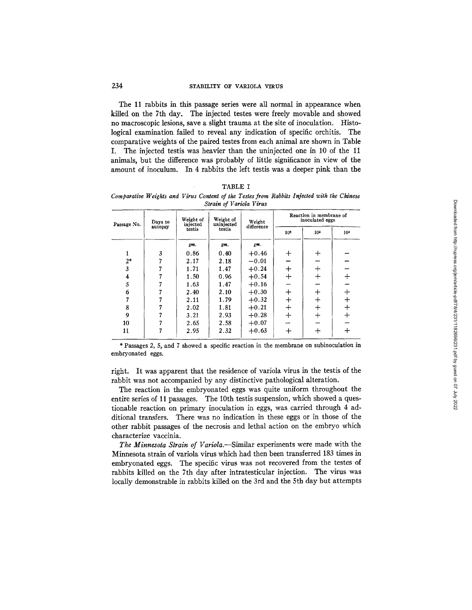## 234 STABILITY OF VARIOLA VIRUS

The 11 rabbits in this passage series were all normal in appearance when killed on the 7th day. The injected testes were freely movable and showed no macroscopic lesions, save a slight trauma at the site of inoculation. Histological examination failed to reveal any indication of specific orchitis. The comparative weights of the paired testes from each animal are shown in Table I. The injected testis was heavier than the uninjected one in 10 of the 11 animals, but the difference was probably of little significance in view of the amount of inoculum. In 4 rabbits the left testis was a deeper pink than the

| `AB). |
|-------|
|-------|

*Comparative Weights and Virus Content of the Testes from Rabbits Injected with the Chinese Strain of Variola Virus* 

| Passage No. | Days to<br>autopsy | Weight of<br>injected<br>testis | Weight of<br>uninjected<br>testis | Weight<br>difference | Reaction in membrane of<br>inoculated eggs |                 |          |
|-------------|--------------------|---------------------------------|-----------------------------------|----------------------|--------------------------------------------|-----------------|----------|
|             |                    |                                 |                                   |                      | 10 <sup>2</sup>                            | 10 <sup>3</sup> | 104      |
|             |                    | gm.                             | gm.                               | gm.                  |                                            |                 |          |
|             | 3                  | 0.86                            | 0.40                              | $+0.46$              | $\ddag$                                    | ┿               |          |
| $2*$        |                    | 2.17                            | 2.18                              | $-0.01$              |                                            |                 |          |
| 3           |                    | 1.71                            | 1.47                              | $+0.24$              | $\div$                                     | $\div$          |          |
| 4           |                    | 1.50                            | 0.96                              | $+0.54$              | $+$                                        | $\,$            | $\,+\,$  |
| 5           |                    | 1.63                            | 1.47                              | $+0.16$              |                                            |                 |          |
| 6           |                    | 2.40                            | 2.10                              | $+0.30$              | $\bm{+}$                                   |                 | ┿        |
|             |                    | 2.11                            | 1.79                              | $+0.32$              | $\div$                                     | ┿               | $\bm{+}$ |
| 8           |                    | 2.02                            | 1.81                              | $+0.21$              | $^{+}$                                     | ┿               | $\div$   |
| 9           |                    | 3.21                            | 2.93                              | $+0.28$              | $^{+}$                                     |                 | $+$      |
| 10          |                    | 2.65                            | 2.58                              | $+0.07$              |                                            |                 |          |
| 11          |                    | 2.95                            | 2.32                              | $+0.63$              | ┿                                          | ┿               | ┿        |

\* Passages 2, 5, and 7 showed a specific reaction in the membrane on subinoculation in embryonated eggs.

right. It was apparent that the residence of variola virus in the testis of the rabbit was not accompanied by any distinctive pathological alteration.

The reaction in the embryonated eggs was quite uniform throughout the entire series of 11 passages. The 10th testis suspension, which showed a questionable reaction on primary inoculation in eggs, was carried through 4 additional transfers. There was no indication in these eggs or in those of the other rabbit passages of the necrosis and lethal action on the embryo which characterize vaccinia.

*The Minnesota Strain of Variola.--Similar* experiments were made with the Minnesota strain of variola virus which had then been transferred 183 times in embryonated eggs. The specific virus was not recovered from the testes of rabbits killed on the 7th day after intratesticular injection. The virus was locally demonstrable in rabbits killed on the 3rd and the 5th day but attempts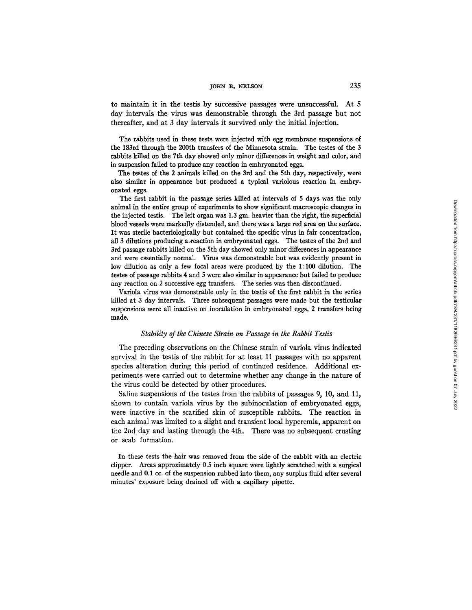### $J$ OHN B. NELSON 235

to maintain it in the testis by successive passages were unsuccessful. At 5 day intervals the virus was demonstrable through the 3rd passage but not thereafter, and at 3 day intervals it survived only the initial injection.

The rabbits used in these tests were injected with egg membrane suspensions of the 183rd through the 200th transfers of the Minnesota strain. The testes of the 3 rabbits killed on the 7th day showed only minor differences in weight and color, and in suspension failed to produce any reaction in embryonated eggs.

The testes of the 2 animals killed on the 3rd and the 5th *day,* respectively, were also similar in appearance but produced a typical variolous reaction in embryonated eggs.

The first rabbit in the passage series killed at intervals of 5 days was the only animal in the entire group of experiments to show significant macroscopic changes in the injected testis. The left organ was 1.3 gm. heavier than the right, the superficial blood vessels were markedly distended, and there was a large red area on the surface. It was sterile bacteriologically but contained the specific virus in fair concentration, all 3 dilutions producing axeaction in embryonated eggs. The testes of the 2nd and 3rd passage rabbits killed on the 5th day showed only minor differences in appearance and were essentially normal. Virus was demonstrable but was evidently present in low dilution as only a few focal areas were produced by the 1:100 dilution. The testes of passage rabbits 4 and 5 were also similar in appearance but failed to produce any reaction on 2 successive egg transfers. The series was then discontinued.

Variola virus was demonstrable only in the testis of the first rabbit in the series killed at 3 day intervals. Three subsequent passages were made but the testicular suspensions were all inactive on inoculation in embryonated eggs, 2 transfers being made.

#### *Stability of the Chinese Strain on Passage in the Rabbit Testis*

The preceding observations on the Chinese strain of variola virus indicated survival in the testis of the rabbit for at least 11 passages with no apparent species alteration during this period of continued residence. Additional experiments were carried out to determine whether any change in the nature of the virus could be detected by other procedures.

Saline suspensions of the testes from the rabbits of passages 9, 10, and 11, shown to contain variola virus by the subinoculation of embryonated eggs, were inactive in the scarified skin of susceptible rabbits. The reaction in each animal was limited to a slight and transient local hyperemia, apparent on the 2nd day and lasting through the 4th. There was no subsequent crusting or scab formation.

In these tests the hair was removed from the side of the rabbit with an electric clipper. Areas approximately 0.5 inch square were lightly scratched with a surgical needle and 0.1 cc. of the suspension rubbed into them, any surplus fluid after several minutes' exposure being drained off with a capillary pipette.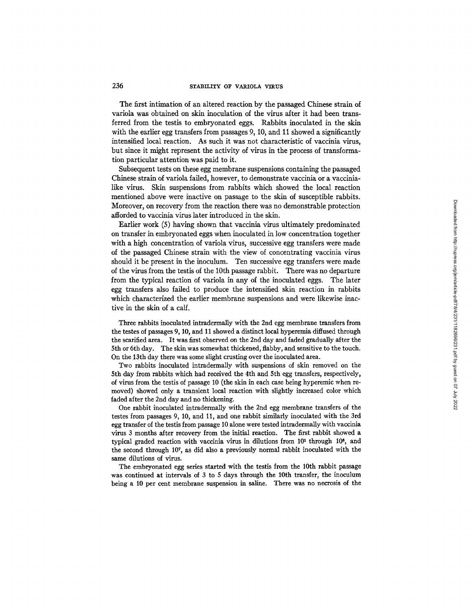The first intimation of an altered reaction by the passaged Chinese strain of variola was obtained on skin inoculation of the virus after it had been transferred from the testis to embryonated eggs. Rabbits inoculated in the skin with the earlier egg transfers from passages 9, 10, and 11 showed a significantly intensified local reaction. As such it was not characteristic of vaccinia virus, but since it might represent the activity of virus in the process of transformation particular attention was paid to it.

Subsequent tests on these egg membrane suspensions containing the passaged Chinese strain of variola failed, however, to demonstrate vaccinia or a vaccinialike virus. Skin suspensions from rabbits which showed the local reaction mentioned above were inactive on passage to the skin of susceptible rabbits. Moreover, on recovery from the reaction there was no demonstrable protection afforded to vaccinia virus later introduced in the skin.

Earlier work (5) having shown that vaccinia virus ultimately predominated on transfer in embryonated eggs when inoculated in low concentration together with a high concentration of variola virus, successive egg transfers were made of the passaged Chinese strain with the view of concentrating vaccinia virus should it be present in the inoculum. Ten successive egg transfers were made of the virus from the testis of the 10th passage rabbit. There was no departure from the typical reaction of variola in any of the inoculated eggs. The later egg transfers also failed to produce the intensified skin reaction in rabbits which characterized the earlier membrane suspensions and were likewise inactive in the skin of a calf.

Three rabbits inoculated intradermally with the 2nd egg membrane transfers from the testes of passages 9, 10, and 11 showed a distinct local hyperemia diffused through the scarified area. It was first observed on the 2nd day and faded gradually after the 5th or 6th day. The skin was somewhat thickened, flabby, and sensitive to the touch. On the 13th day there was some slight crusting over the inoculated area.

Two rabbits inoculated intradermally with suspensions of skin removed on the 5th day from rabbits which had received the 4th and 5th egg transfers, respectively, of virus from the testis of passage 10 (the skin in each case being hyperemic when removed) showed only a transient local reaction with slightly increased color which faded after the 2nd day and no thickening.

One rabbit inoculated intradermally with the 2nd egg membrane transfers of the testes from passages 9, 10, and 11, and one rabbit similarly inoculated with the 3rd egg transfer of the testis from passage 10 alone were tested intradermally with vaccinia virus 3 months after recovery from the initial reaction. The first rabbit showed a typical graded reaction with vaccinia virus in dilutions from  $10<sup>1</sup>$  through  $10<sup>1</sup>$ , and the second through 10<sup>7</sup>, as did also a previously normal rabbit inoculated with the same dilutions of virus.

The embryonated egg series started with the testis from the 10th rabbit passage was continued at intervals of 3 to 5 days through the 10th transfer, the inoculum being a 10 per cent membrane suspension in saline. There was no necrosis of the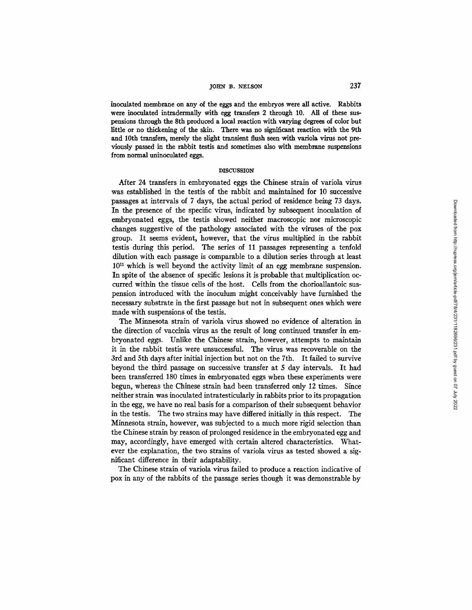## TOHN B. NELSON 237

inoculated membrane on any of the eggs and the embryos were all active. Rabbits were inoculated intraderma]ly with egg transfers 2 through 10. All of these suspensions through the 8th produced a local reaction with varying degrees of color but little or no thickening of the skin. There was no significant reaction with the 9th and 10th transfers, merely the slight transient flush seen with variola virus not previously passed in the rabbit testis and sometimes also with membrane **suspensions from** normal uninoculated eggs.

#### DISCUSSION

After 24 transfers in embryonated eggs the Chinese strain of variola virus was established in the testis of the rabbit and maintained for 10 successive passages at intervals of 7 days, the actual period of residence being 73 days. In the presence of the specific virus, indicated by subsequent inoculation of embryonated eggs, the testis showed neither macroscopic nor microscopic changes suggestive of the pathology associated with the viruses of the pox group. It seems evident, however, that the virus multiplied in the rabbit testis during this period. The series of 11 passages representing a tenfold dilution with each passage is comparable to a dilution series through at least  $10^{11}$  which is well beyond the activity limit of an egg membrane suspension. In spite of the absence of specific lesions it is probable that multiplication occurred within the tissue cells of the host. Cells from the chorioallantoic suspension introduced with the inoculum might conceivably have furnished the necessary substrate in the first passage but not in subsequent ones which were made with suspensions of the testis.

The Minnesota strain of variola virus showed no evidence of alteration in the direction of vaccinia virus as the result of long continued transfer in embryonated eggs. Unlike the Chinese strain, however, attempts to maintain it in the rabbit testis were unsuccessful. The virus was recoverable on the 3rd and 5th days after initial injection but not on the 7th. It failed to survive beyond the third passage on successive transfer at 5 day intervals. It had been transferred 180 times in embryonated eggs when these experiments were begun, whereas the Chinese strain had been transferred only 12 times. Since neither strain was inoculated intratesticularly in rabbits prior to its propagation in the egg, we have no real basis for a comparison of their subsequent behavior in the testis. The two strains may have differed initially in this respect. The Minnesota strain, however, was subjected to a much more rigid selection than the Chinese strain by reason of prolonged residence in the embryonated egg and may, accordingly, have emerged with certain altered characteristics. Whatever the explanation, the two strains of variola virus as tested showed a significant difference in their adaptability.

The Chinese strain of variola virus failed to produce a reaction indicative of pox in any of the rabbits of the passage series though it was demonstrable by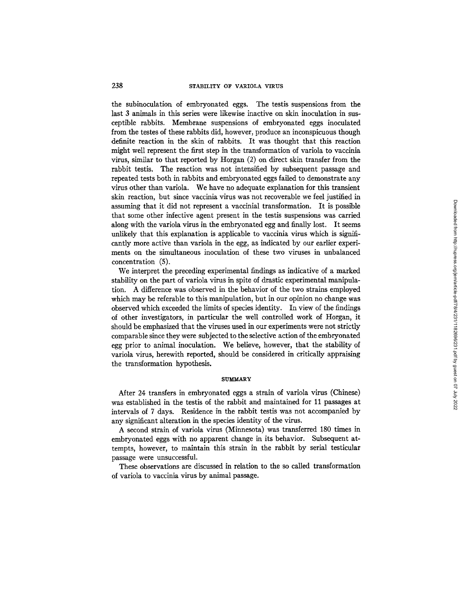the subinoculation of embryonated eggs. The testis suspensions from the last 3 animals in this series were likewise inactive on skin inoculation in susceptible rabbits. Membrane suspensions of embryonated eggs inoculated from the testes of these rabbits did, however, produce an inconspicuous though definite reaction in the skin of rabbits. It was thought that this reaction might well represent the first step in the transformation of variola to vaccinia virus, similar to that reported by Horgan (2) on direct skin transfer from the rabbit testis. The reaction was not intensified by subsequent passage and repeated tests both in rabbits and embryonated eggs failed to demonstrate any virus other than variola. We have no adequate explanation for this transient skin reaction, but since vaccinia virus was not recoverable we feel justified in assuming that it did not represent a vaccinial transformation. It is possible that some other infective agent present in the testis suspensions was carried along with the variola virus in the embryonated egg and finally lost. It seems unlikely that this explanation is applicable to vaccinia virus which is significantly more active than variola in the egg, as indicated by our earlier experiments on the simultaneous inoculation of these two viruses in unbalanced concentration (5).

We interpret the preceding experimental findings as indicative of a marked stability on the part of variola virus in spite of drastic experimental manipulation. A difference was observed in the behavior of the two strains employed which may be referable to this manipulation, but in our opinion no change was observed which exceeded the limits of species identity. In view of the findings of other investigators, in particular the well controlled work of Horgan, it should be emphasized that the viruses used in our experiments were not strictly comparable since they were subjected to the selective action of the embryonated egg prior to animal inoculation. We believe, however, that the stability of variola virus, herewith reported, should be considered in critically appraising the transformation hypothesis.

#### **SUMMARY**

After 24 transfers in embryonated eggs a strain of variola virus (Chinese) was established in the testis of the rabbit and maintained for 11 passages at intervals of 7 days. Residence in the rabbit testis was not accompanied by any significant alteration in the species identity of the virus.

A second strain of variola virus (Minnesota) was transferred 180 times in embryonated eggs with no apparent change in its behavior. Subsequent attempts, however, to maintain this strain in the rabbit by serial testicular passage were unsuccessful.

These observations are discussed in relation to the so called transformation of variola to vaccinia virus by animal passage.